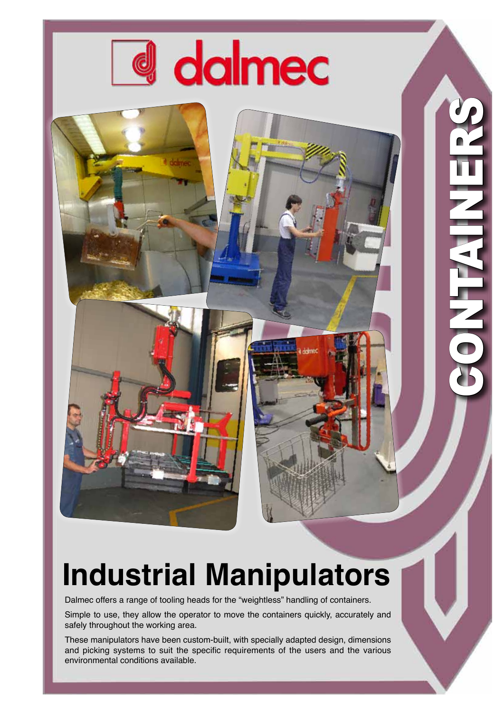

## **Industrial Manipulators**

1301

CONTAINERS

NATHER CO

Dalmec offers a range of tooling heads for the "weightless" handling of containers.

Simple to use, they allow the operator to move the containers quickly, accurately and safely throughout the working area.

These manipulators have been custom-built, with specially adapted design, dimensions and picking systems to suit the specific requirements of the users and the various environmental conditions available.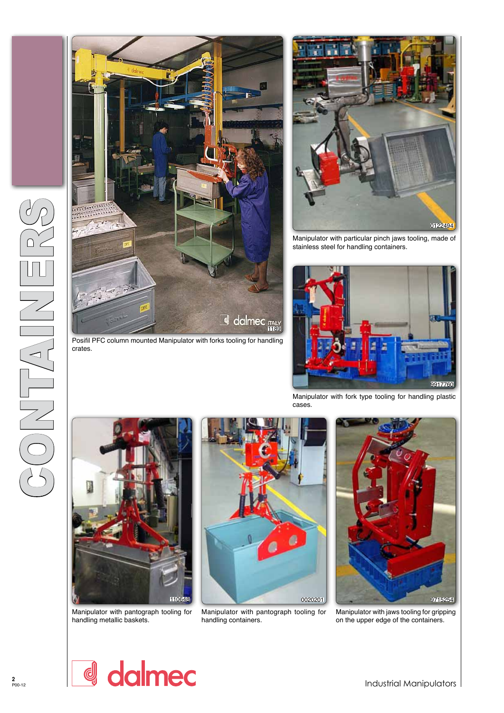

crates.



Manipulator with particular pinch jaws tooling, made of stainless steel for handling containers.



Manipulator with fork type tooling for handling plastic cases.



Manipulator with pantograph tooling for handling metallic baskets.



Manipulator with pantograph tooling for handling containers.



Manipulator with jaws tooling for gripping on the upper edge of the containers.

dalmec d

Industrial Manipulators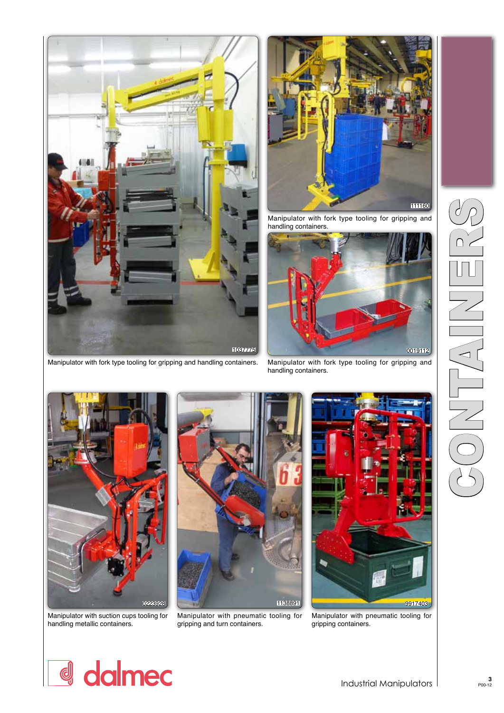







Manipulator with fork type tooling for gripping and handling containers.

Manipulator with suction cups tooling for handling metallic containers.



Manipulator with pneumatic tooling for gripping and turn containers.



Manipulator with pneumatic tooling for gripping containers.

## d dalmec